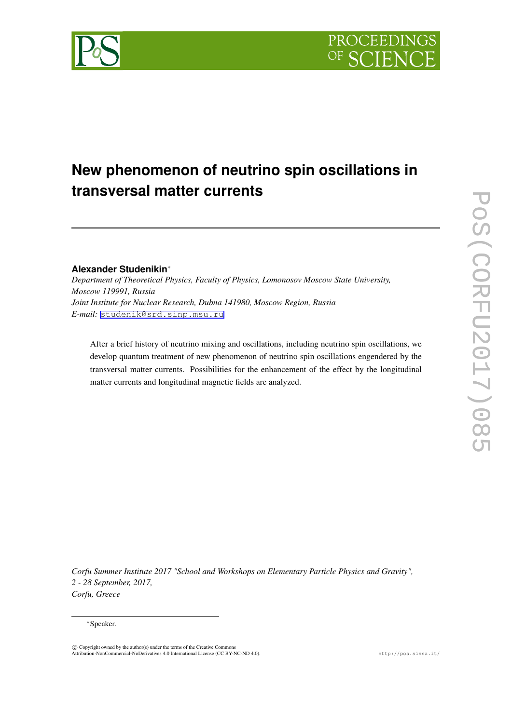

# **New phenomenon of neutrino spin oscillations in transversal matter currents**

## **Alexander Studenikin***∗*

*Department of Theoretical Physics, Faculty of Physics, Lomonosov Moscow State University, Moscow 119991, Russia Joint Institute for Nuclear Research, Dubna 141980, Moscow Region, Russia E-mail:* [studenik@srd.sinp.msu.ru](mailto:studenik@srd.sinp.msu.ru)

After a brief history of neutrino mixing and oscillations, including neutrino spin oscillations, we develop quantum treatment of new phenomenon of neutrino spin oscillations engendered by the transversal matter currents. Possibilities for the enhancement of the effect by the longitudinal matter currents and longitudinal magnetic fields are analyzed.

*Corfu Summer Institute 2017 "School and Workshops on Elementary Particle Physics and Gravity", 2 - 28 September, 2017, Corfu, Greece*

#### *∗*Speaker.

 $\circled{c}$  Copyright owned by the author(s) under the terms of the Creative Common Attribution-NonCommercial-NoDerivatives 4.0 International License (CC BY-NC-ND 4.0). http://pos.sissa.it/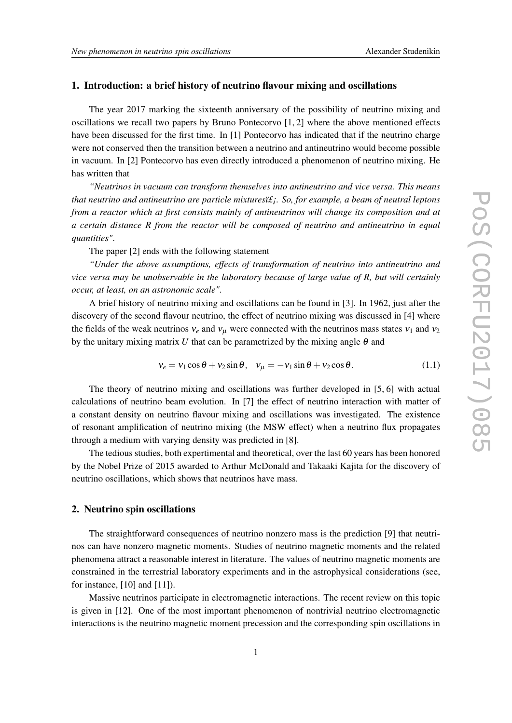#### 1. Introduction: a brief history of neutrino flavour mixing and oscillations

The year 2017 marking the sixteenth anniversary of the possibility of neutrino mixing and oscillations we recall two papers by Bruno Pontecorvo  $[1, 2]$  where the above mentioned effects have been discussed for the first time. In [1] Pontecorvo has indicated that if the neutrino charge were not conserved then the transition between a neutrino and antineutrino would become possible in vacuum. In [2] Pontecorvo has even directly introduced a phenomenon of neutrino mixing. He has written that

*"Neutrinos in vacuum can transform themselves into antineutrino and vice versa. This means that neutrino and antineutrino are particle mixturesi£<sub>i</sub>. So, for example, a beam of neutral leptons from a reactor which at first consists mainly of antineutrinos will change its composition and at a certain distance R from the reactor will be composed of neutrino and antineutrino in equal quantities"*.

The paper [2] ends with the following statement

*"Under the above assumptions, effects of transformation of neutrino into antineutrino and vice versa may be unobservable in the laboratory because of large value of R, but will certainly occur, at least, on an astronomic scale"*.

A brief history of neutrino mixing and oscillations can be found in [3]. In 1962, just after the discovery of the second flavour neutrino, the effect of neutrino mixing was discussed in [4] where the fields of the weak neutrinos  $v_e$  and  $v_\mu$  were connected with the neutrinos mass states  $v_1$  and  $v_2$ by the unitary mixing matrix *U* that can be parametrized by the mixing angle  $\theta$  and

$$
v_e = v_1 \cos \theta + v_2 \sin \theta, \quad v_\mu = -v_1 \sin \theta + v_2 \cos \theta. \tag{1.1}
$$

The theory of neutrino mixing and oscillations was further developed in [5, 6] with actual calculations of neutrino beam evolution. In [7] the effect of neutrino interaction with matter of a constant density on neutrino flavour mixing and oscillations was investigated. The existence of resonant amplification of neutrino mixing (the MSW effect) when a neutrino flux propagates through a medium with varying density was predicted in [8].

The tedious studies, both expertimental and theoretical, over the last 60 years has been honored by the Nobel Prize of 2015 awarded to Arthur McDonald and Takaaki Kajita for the discovery of neutrino oscillations, which shows that neutrinos have mass.

#### 2. Neutrino spin oscillations

The straightforward consequences of neutrino nonzero mass is the prediction [9] that neutrinos can have nonzero magnetic moments. Studies of neutrino magnetic moments and the related phenomena attract a reasonable interest in literature. The values of neutrino magnetic moments are constrained in the terrestrial laboratory experiments and in the astrophysical considerations (see, for instance, [10] and [11]).

Massive neutrinos participate in electromagnetic interactions. The recent review on this topic is given in [12]. One of the most important phenomenon of nontrivial neutrino electromagnetic interactions is the neutrino magnetic moment precession and the corresponding spin oscillations in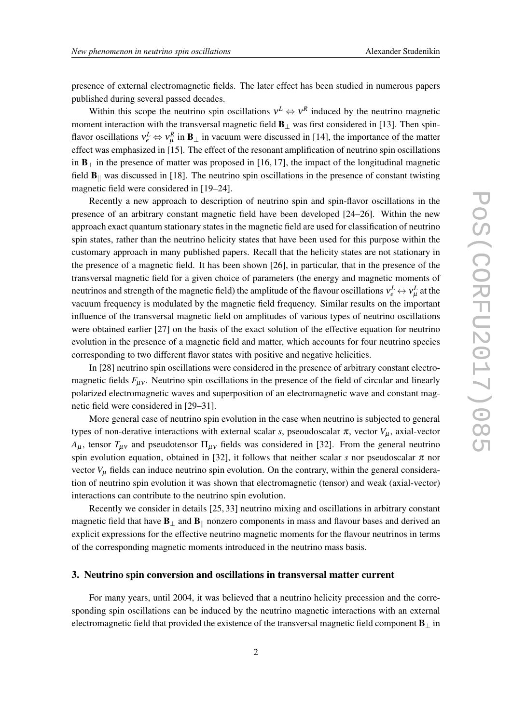presence of external electromagnetic fields. The later effect has been studied in numerous papers published during several passed decades.

Within this scope the neutrino spin oscillations  $v^L \Leftrightarrow v^R$  induced by the neutrino magnetic moment interaction with the transversal magnetic field **B**<sub>⊥</sub> was first considered in [13]. Then spinflavor oscillations  $v_e^L \Leftrightarrow v_\mu^R$  in  $\mathbf{B}_{\perp}$  in vacuum were discussed in [14], the importance of the matter effect was emphasized in [15]. The effect of the resonant amplification of neutrino spin oscillations in B*<sup>⊥</sup>* in the presence of matter was proposed in [16, 17], the impact of the longitudinal magnetic field B*||* was discussed in [18]. The neutrino spin oscillations in the presence of constant twisting magnetic field were considered in [19–24].

Recently a new approach to description of neutrino spin and spin-flavor oscillations in the presence of an arbitrary constant magnetic field have been developed [24–26]. Within the new approach exact quantum stationary states in the magnetic field are used for classification of neutrino spin states, rather than the neutrino helicity states that have been used for this purpose within the customary approach in many published papers. Recall that the helicity states are not stationary in the presence of a magnetic field. It has been shown [26], in particular, that in the presence of the transversal magnetic field for a given choice of parameters (the energy and magnetic moments of neutrinos and strength of the magnetic field) the amplitude of the flavour oscillations  $v_e^L \leftrightarrow v_\mu^L$  at the vacuum frequency is modulated by the magnetic field frequency. Similar results on the important influence of the transversal magnetic field on amplitudes of various types of neutrino oscillations were obtained earlier [27] on the basis of the exact solution of the effective equation for neutrino evolution in the presence of a magnetic field and matter, which accounts for four neutrino species corresponding to two different flavor states with positive and negative helicities.

In [28] neutrino spin oscillations were considered in the presence of arbitrary constant electromagnetic fields  $F_{\mu\nu}$ . Neutrino spin oscillations in the presence of the field of circular and linearly polarized electromagnetic waves and superposition of an electromagnetic wave and constant magnetic field were considered in [29–31].

More general case of neutrino spin evolution in the case when neutrino is subjected to general types of non-derative interactions with external scalar *s*, pseoudoscalar  $\pi$ , vector  $V_{\mu}$ , axial-vector  $A_{\mu}$ , tensor  $T_{\mu\nu}$  and pseudotensor  $\Pi_{\mu\nu}$  fields was considered in [32]. From the general neutrino spin evolution equation, obtained in [32], it follows that neither scalar *s* nor pseudoscalar  $\pi$  nor vector  $V_{\mu}$  fields can induce neutrino spin evolution. On the contrary, within the general consideration of neutrino spin evolution it was shown that electromagnetic (tensor) and weak (axial-vector) interactions can contribute to the neutrino spin evolution.

Recently we consider in details [25, 33] neutrino mixing and oscillations in arbitrary constant magnetic field that have B*<sup>⊥</sup>* and B*||* nonzero components in mass and flavour bases and derived an explicit expressions for the effective neutrino magnetic moments for the flavour neutrinos in terms of the corresponding magnetic moments introduced in the neutrino mass basis.

#### 3. Neutrino spin conversion and oscillations in transversal matter current

For many years, until 2004, it was believed that a neutrino helicity precession and the corresponding spin oscillations can be induced by the neutrino magnetic interactions with an external electromagnetic field that provided the existence of the transversal magnetic field component B*<sup>⊥</sup>* in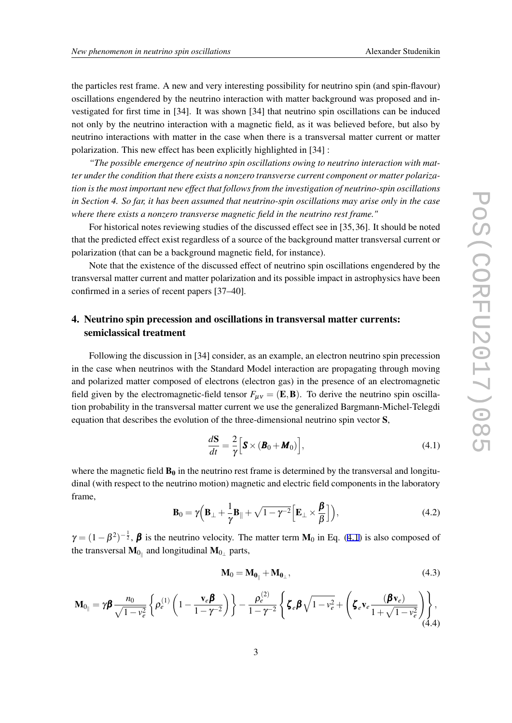the particles rest frame. A new and very interesting possibility for neutrino spin (and spin-flavour) oscillations engendered by the neutrino interaction with matter background was proposed and investigated for first time in [34]. It was shown [34] that neutrino spin oscillations can be induced not only by the neutrino interaction with a magnetic field, as it was believed before, but also by neutrino interactions with matter in the case when there is a transversal matter current or matter polarization. This new effect has been explicitly highlighted in [34] :

*"The possible emergence of neutrino spin oscillations owing to neutrino interaction with matter under the condition that there exists a nonzero transverse current component or matter polarization is the most important new effect that follows from the investigation of neutrino-spin oscillations in Section 4. So far, it has been assumed that neutrino-spin oscillations may arise only in the case where there exists a nonzero transverse magnetic field in the neutrino rest frame."*

For historical notes reviewing studies of the discussed effect see in [35, 36]. It should be noted that the predicted effect exist regardless of a source of the background matter transversal current or polarization (that can be a background magnetic field, for instance).

Note that the existence of the discussed effect of neutrino spin oscillations engendered by the transversal matter current and matter polarization and its possible impact in astrophysics have been confirmed in a series of recent papers [37–40].

# 4. Neutrino spin precession and oscillations in transversal matter currents: semiclassical treatment

Following the discussion in [34] consider, as an example, an electron neutrino spin precession in the case when neutrinos with the Standard Model interaction are propagating through moving and polarized matter composed of electrons (electron gas) in the presence of an electromagnetic field given by the electromagnetic-field tensor  $F_{\mu\nu} = (E, B)$ . To derive the neutrino spin oscillation probability in the transversal matter current we use the generalized Bargmann-Michel-Telegdi equation that describes the evolution of the three-dimensional neutrino spin vector S,

$$
\frac{d\mathbf{S}}{dt} = \frac{2}{\gamma} \Big[ \mathbf{S} \times (\mathbf{B}_0 + \mathbf{M}_0) \Big],\tag{4.1}
$$

where the magnetic field  $B_0$  in the neutrino rest frame is determined by the transversal and longitudinal (with respect to the neutrino motion) magnetic and electric field components in the laboratory frame,

$$
\mathbf{B}_0 = \gamma \Big( \mathbf{B}_{\perp} + \frac{1}{\gamma} \mathbf{B}_{\parallel} + \sqrt{1 - \gamma^{-2}} \Big[ \mathbf{E}_{\perp} \times \frac{\boldsymbol{\beta}}{\beta} \Big] \Big), \tag{4.2}
$$

 $\gamma = (1 - \beta^2)^{-\frac{1}{2}}$ ,  $\beta$  is the neutrino velocity. The matter term **M**<sub>0</sub> in Eq. (4.1) is also composed of the transversal  $\mathbf{M}_{0_{\parallel}}$  and longitudinal  $\mathbf{M}_{0_{\perp}}$  parts,

$$
\mathbf{M}_0 = \mathbf{M}_{0_{\parallel}} + \mathbf{M}_{0_{\perp}},\tag{4.3}
$$

$$
\mathbf{M}_{0_{\parallel}} = \gamma \boldsymbol{\beta} \frac{n_0}{\sqrt{1 - v_e^2}} \left\{ \rho_e^{(1)} \left( 1 - \frac{\mathbf{v}_e \boldsymbol{\beta}}{1 - \gamma^{-2}} \right) \right\} - \frac{\rho_e^{(2)}}{1 - \gamma^{-2}} \left\{ \zeta_e \boldsymbol{\beta} \sqrt{1 - v_e^2} + \left( \zeta_e \mathbf{v}_e \frac{(\boldsymbol{\beta} \mathbf{v}_e)}{1 + \sqrt{1 - v_e^2}} \right) \right\},\tag{4.4}
$$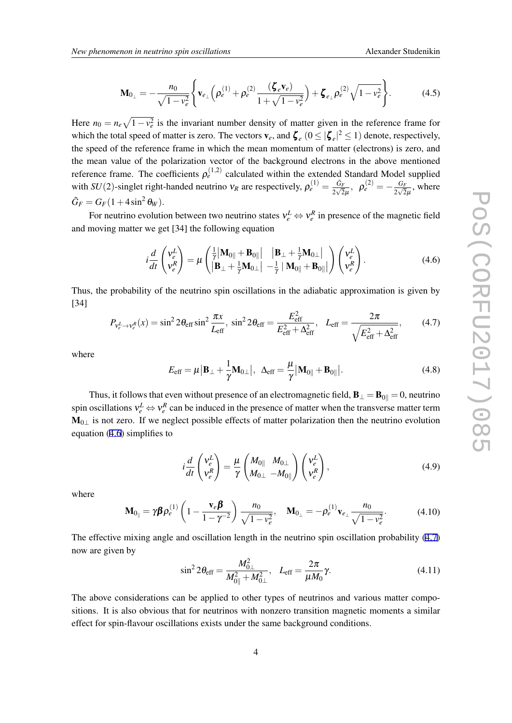<span id="page-4-0"></span>Here  $n_0 = n_e \sqrt{1 - v_e^2}$  is the invariant number density of matter given in the reference frame for which the total speed of matter is zero. The vectors  $\mathbf{v}_e$ , and  $\boldsymbol{\zeta}_e$   $(0 \le |\boldsymbol{\zeta}_e|^2 \le 1)$  denote, respectively, the speed of the reference frame in which the mean momentum of matter (electrons) is zero, and the mean value of the polarization vector of the background electrons in the above mentioned reference frame. The coefficients  $\rho_e^{(1,2)}$  calculated within the extended Standard Model supplied with *SU*(2)-singlet right-handed neutrino  $v_R$  are respectively,  $\rho_e^{(1)} = \frac{\tilde{G}_F}{2\sqrt{2}\mu}$ ,  $\rho_e^{(2)} = -\frac{G_F}{2\sqrt{2}}$  $\frac{G_F}{2\sqrt{2}\mu}$ , where  $\tilde{G}_F = G_F(1 + 4\sin^2\theta_W).$ 

For neutrino evolution between two neutrino states  $v_e^L \Leftrightarrow v_e^R$  in presence of the magnetic field and moving matter we get [34] the following equation

$$
i\frac{d}{dt}\begin{pmatrix}v_e^L\\v_e^R\end{pmatrix}=\mu\begin{pmatrix}\frac{1}{\gamma}|\mathbf{M}_{0\parallel}+\mathbf{B}_{0\parallel}|\begin{array}{c}|\mathbf{B}_{\perp}+\frac{1}{\gamma}\mathbf{M}_{0\perp}|\\\|\mathbf{B}_{\perp}+\frac{1}{\gamma}\mathbf{M}_{0\perp}|\end{array}\end{pmatrix}\begin{pmatrix}v_e^L\\v_e^R\end{pmatrix}.
$$
(4.6)

Thus, the probability of the neutrino spin oscillations in the adiabatic approximation is given by [34]

$$
P_{V_e^L \to V_e^R}(x) = \sin^2 2\theta_{\text{eff}} \sin^2 \frac{\pi x}{L_{\text{eff}}}, \sin^2 2\theta_{\text{eff}} = \frac{E_{\text{eff}}^2}{E_{\text{eff}}^2 + \Delta_{\text{eff}}^2}, \quad L_{\text{eff}} = \frac{2\pi}{\sqrt{E_{\text{eff}}^2 + \Delta_{\text{eff}}^2}},\tag{4.7}
$$

where

$$
E_{\text{eff}} = \mu \left| \mathbf{B}_{\perp} + \frac{1}{\gamma} \mathbf{M}_{0\perp} \right|, \ \Delta_{\text{eff}} = \frac{\mu}{\gamma} \left| \mathbf{M}_{0\parallel} + \mathbf{B}_{0\parallel} \right|.
$$
 (4.8)

Thus, it follows that even without presence of an electromagnetic field,  $\mathbf{B}_{\perp} = \mathbf{B}_{0\parallel} = 0$ , neutrino spin oscillations  $v_e^L \Leftrightarrow v_e^R$  can be induced in the presence of matter when the transverse matter term M<sub>0⊥</sub> is not zero. If we neglect possible effects of matter polarization then the neutrino evolution equation (4.6) simplifies to

$$
i\frac{d}{dt}\begin{pmatrix} v_e^L \\ v_e^R \end{pmatrix} = \frac{\mu}{\gamma} \begin{pmatrix} M_{0\parallel} & M_{0\perp} \\ M_{0\perp} & -M_{0\parallel} \end{pmatrix} \begin{pmatrix} v_e^L \\ v_e^R \end{pmatrix},
$$
(4.9)

where

$$
\mathbf{M}_{0_{\parallel}} = \gamma \boldsymbol{\beta} \rho_e^{(1)} \left( 1 - \frac{\mathbf{v}_e \boldsymbol{\beta}}{1 - \gamma^{-2}} \right) \frac{n_0}{\sqrt{1 - v_e^2}}, \quad \mathbf{M}_{0_{\perp}} = -\rho_e^{(1)} \mathbf{v}_{e_{\perp}} \frac{n_0}{\sqrt{1 - v_e^2}}.
$$
 (4.10)

The effective mixing angle and oscillation length in the neutrino spin oscillation probability (4.7) now are given by

$$
\sin^2 2\theta_{\rm eff} = \frac{M_{0\perp}^2}{M_{0\parallel}^2 + M_{0\perp}^2}, \quad L_{\rm eff} = \frac{2\pi}{\mu M_0} \gamma.
$$
 (4.11)

The above considerations can be applied to other types of neutrinos and various matter compositions. It is also obvious that for neutrinos with nonzero transition magnetic moments a similar effect for spin-flavour oscillations exists under the same background conditions.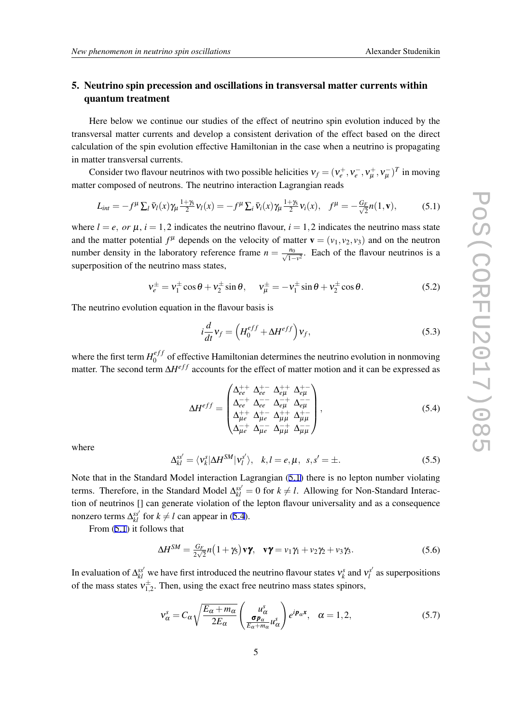# <span id="page-5-0"></span>5. Neutrino spin precession and oscillations in transversal matter currents within quantum treatment

Here below we continue our studies of the effect of neutrino spin evolution induced by the transversal matter currents and develop a consistent derivation of the effect based on the direct calculation of the spin evolution effective Hamiltonian in the case when a neutrino is propagating in matter transversal currents.

Consider two flavour neutrinos with two possible helicities  $v_f = (v_e^+, v_e^-, v_\mu^+, v_\mu^-)^T$  in moving matter composed of neutrons. The neutrino interaction Lagrangian reads

$$
L_{int} = -f^{\mu} \sum_{l} \bar{v}_{l}(x) \gamma_{\mu} \frac{1+\gamma_{5}}{2} v_{l}(x) = -f^{\mu} \sum_{i} \bar{v}_{i}(x) \gamma_{\mu} \frac{1+\gamma_{5}}{2} v_{i}(x), \quad f^{\mu} = -\frac{G_{F}}{\sqrt{2}} n(1, \mathbf{v}), \tag{5.1}
$$

where  $l = e$ , or  $\mu$ ,  $i = 1,2$  indicates the neutrino flavour,  $i = 1,2$  indicates the neutrino mass state and the matter potential  $f^{\mu}$  depends on the velocity of matter  $\mathbf{v} = (v_1, v_2, v_3)$  and on the neutron number density in the laboratory reference frame  $n = \frac{n_0}{\sqrt{1 - v^2}}$ . Each of the flavour neutrinos is a superposition of the neutrino mass states,

$$
v_e^{\pm} = v_1^{\pm} \cos \theta + v_2^{\pm} \sin \theta, \quad v_\mu^{\pm} = -v_1^{\pm} \sin \theta + v_2^{\pm} \cos \theta. \tag{5.2}
$$

The neutrino evolution equation in the flavour basis is

$$
i\frac{d}{dt}v_f = \left(H_0^{eff} + \Delta H^{eff}\right)v_f,
$$
\n(5.3)

where the first term  $H_0^{eff}$  $\binom{e}{0}$  of effective Hamiltonian determines the neutrino evolution in nonmoving matter. The second term  $\Delta H^{eff}$  accounts for the effect of matter motion and it can be expressed as

$$
\Delta H^{eff} = \begin{pmatrix} \Delta_{ee}^{++} & \Delta_{ee}^{+-} & \Delta_{e\mu}^{++} & \Delta_{e\mu}^{+-} \\ \Delta_{ee}^{-+} & \Delta_{ee}^{--} & \Delta_{e\mu}^{-+} & \Delta_{e\mu}^{--} \\ \Delta_{\mu e}^{++} & \Delta_{\mu e}^{+-} & \Delta_{\mu \mu}^{++} & \Delta_{\mu \mu}^{+-} \\ \Delta_{\mu e}^{-+} & \Delta_{\mu e}^{--} & \Delta_{\mu \mu}^{-+} & \Delta_{\mu \mu}^{-+} \end{pmatrix},\tag{5.4}
$$

where

$$
\Delta_{kl}^{ss'} = \langle \mathbf{v}_k^s | \Delta H^{SM} | \mathbf{v}_l^{s'} \rangle, \quad k, l = e, \mu, \quad s, s' = \pm.
$$

Note that in the Standard Model interaction Lagrangian (5.1) there is no lepton number violating terms. Therefore, in the Standard Model  $\Delta_{kl}^{ss'} = 0$  for  $k \neq l$ . Allowing for Non-Standard Interaction of neutrinos [] can generate violation of the lepton flavour universality and as a consequence nonzero terms  $\Delta_{kl}^{ss'}$  for  $k \neq l$  can appear in (5.4).

From (5.1) it follows that

$$
\Delta H^{SM} = \frac{G_F}{2\sqrt{2}} n \left( 1 + \gamma_5 \right) \mathbf{v} \mathbf{\gamma}, \quad \mathbf{v} \mathbf{\gamma} = v_1 \gamma_1 + v_2 \gamma_2 + v_3 \gamma_3. \tag{5.6}
$$

In evaluation of  $\Delta_{kl}^{ss'}$  we have first introduced the neutrino flavour states  $v_k^s$  and  $v_l^{s'}$  as superpositions of the mass states  $v_{1,2}^{\pm}$ . Then, using the exact free neutrino mass states spinors,

$$
\mathbf{v}_{\alpha}^{s} = C_{\alpha} \sqrt{\frac{E_{\alpha} + m_{\alpha}}{2E_{\alpha}}} \left( \frac{u_{\alpha}^{s}}{E_{\alpha} + m_{\alpha}} u_{\alpha}^{s} \right) e^{i \mathbf{p}_{\alpha} \cdot \mathbf{x}}, \quad \alpha = 1, 2, \tag{5.7}
$$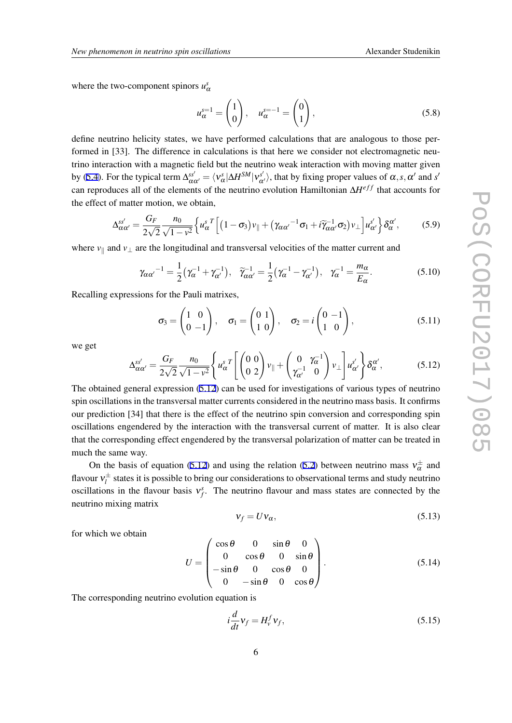<span id="page-6-0"></span>where the two-component spinors  $u^s_\alpha$ 

$$
u_{\alpha}^{s=1} = \begin{pmatrix} 1 \\ 0 \end{pmatrix}, \quad u_{\alpha}^{s=-1} = \begin{pmatrix} 0 \\ 1 \end{pmatrix}, \tag{5.8}
$$

define neutrino helicity states, we have performed calculations that are analogous to those performed in [33]. The difference in calculations is that here we consider not electromagnetic neutrino interaction with a magnetic field but the neutrino weak interaction with moving matter given by ([5.4](#page-5-0)). For the typical term  $\Delta_{\alpha\alpha'}^{ss'} = \langle v_\alpha^s | \Delta H^{SM} | v_{\alpha'}^{s'} \rangle$ , that by fixing proper values of  $\alpha, s, \alpha'$  and s' can reproduces all of the elements of the neutrino evolution Hamiltonian ∆*H<sup>eff</sup>* that accounts for the effect of matter motion, we obtain,

$$
\Delta_{\alpha\alpha'}^{ss'} = \frac{G_F}{2\sqrt{2}} \frac{n_0}{\sqrt{1 - v^2}} \left\{ u_\alpha^s{}^T \left[ (1 - \sigma_3) v_\parallel + (\gamma_{\alpha\alpha'}{}^{-1} \sigma_1 + i \widetilde{\gamma}_{\alpha\alpha'}{}^{-1} \sigma_2) v_\perp \right] u_{\alpha'}^{s'} \right\} \delta_{\alpha}^{\alpha'},\tag{5.9}
$$

where *v<sup>∥</sup>* and *v<sup>⊥</sup>* are the longitudinal and transversal velocities of the matter current and

$$
\gamma_{\alpha\alpha'}{}^{-1} = \frac{1}{2} \left( \gamma_{\alpha}{}^{-1} + \gamma_{\alpha'}{}^{-1} \right), \quad \widetilde{\gamma}_{\alpha\alpha'}{}^{-1} = \frac{1}{2} \left( \gamma_{\alpha}{}^{-1} - \gamma_{\alpha'}{}^{-1} \right), \quad \gamma_{\alpha}{}^{-1} = \frac{m_{\alpha}}{E_{\alpha}}.
$$

Recalling expressions for the Pauli matrixes,

$$
\sigma_3 = \begin{pmatrix} 1 & 0 \\ 0 & -1 \end{pmatrix}, \quad \sigma_1 = \begin{pmatrix} 0 & 1 \\ 1 & 0 \end{pmatrix}, \quad \sigma_2 = i \begin{pmatrix} 0 & -1 \\ 1 & 0 \end{pmatrix}, \tag{5.11}
$$

we get

$$
\Delta_{\alpha\alpha'}^{ss'} = \frac{G_F}{2\sqrt{2}} \frac{n_0}{\sqrt{1 - v^2}} \left\{ u_\alpha^s \right\} \left[ \begin{pmatrix} 0 & 0 \\ 0 & 2 \end{pmatrix} v_{\parallel} + \begin{pmatrix} 0 & \gamma_\alpha^{-1} \\ \gamma_{\alpha'}^{-1} & 0 \end{pmatrix} v_{\perp} \right] u_{\alpha'}^{s'} \right\} \delta_\alpha^{\alpha'},\tag{5.12}
$$

The obtained general expression (5.12) can be used for investigations of various types of neutrino spin oscillations in the transversal matter currents considered in the neutrino mass basis. It confirms our prediction [34] that there is the effect of the neutrino spin conversion and corresponding spin oscillations engendered by the interaction with the transversal current of matter. It is also clear that the corresponding effect engendered by the transversal polarization of matter can be treated in much the same way.

On the basis of equation (5.12) and using the relation [\(5.2\)](#page-5-0) between neutrino mass  $v^{\pm}_{\alpha}$  and flavour  $v_l^{\pm}$  states it is possible to bring our considerations to observational terms and study neutrino oscillations in the flavour basis  $v_f^s$ . The neutrino flavour and mass states are connected by the neutrino mixing matrix

$$
v_f = U v_\alpha, \tag{5.13}
$$

for which we obtain

$$
U = \begin{pmatrix} \cos \theta & 0 & \sin \theta & 0 \\ 0 & \cos \theta & 0 & \sin \theta \\ -\sin \theta & 0 & \cos \theta & 0 \\ 0 & -\sin \theta & 0 & \cos \theta \end{pmatrix}.
$$
 (5.14)

The corresponding neutrino evolution equation is

$$
i\frac{d}{dt}\mathbf{v}_f = H_v^f \mathbf{v}_f,\tag{5.15}
$$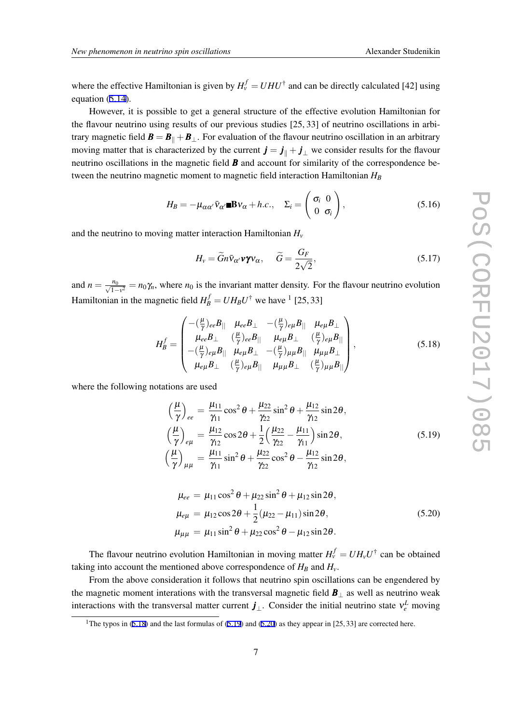<span id="page-7-0"></span>where the effective Hamiltonian is given by  $H_{\nu}^{f} = U H U^{\dagger}$  and can be directly calculated [42] using equation [\(5.14](#page-6-0)).

However, it is possible to get a general structure of the effective evolution Hamiltonian for the flavour neutrino using results of our previous studies [25, 33] of neutrino oscillations in arbitrary magnetic field  $\mathbf{B} = \mathbf{B}_{\parallel} + \mathbf{B}_{\perp}$ . For evaluation of the flavour neutrino oscillation in an arbitrary moving matter that is characterized by the current  $\mathbf{j} = \mathbf{j}_{\parallel} + \mathbf{j}_{\perp}$  we consider results for the flavour neutrino oscillations in the magnetic field *B* and account for similarity of the correspondence between the neutrino magnetic moment to magnetic field interaction Hamiltonian *H<sup>B</sup>*

$$
H_B = -\mu_{\alpha\alpha'} \bar{v}_{\alpha'} \blacksquare \mathbf{B} v_{\alpha} + h.c., \quad \Sigma_i = \begin{pmatrix} \sigma_i & 0 \\ 0 & \sigma_i \end{pmatrix}, \tag{5.16}
$$

and the neutrino to moving matter interaction Hamiltonian *H<sup>v</sup>*

$$
H_{\nu} = \widetilde{G}n\bar{\nu}_{\alpha'}\nu\gamma\nu_{\alpha}, \quad \widetilde{G} = \frac{G_F}{2\sqrt{2}}, \qquad (5.17)
$$

and  $n = \frac{n_0}{\sqrt{1 - v^2}} = n_0 \gamma_n$ , where  $n_0$  is the invariant matter density. For the flavour neutrino evolution Hamiltonian in the magnetic field  $H_B^f = U H_B U^{\dagger}$  we have <sup>1</sup> [25, 33]

$$
H_B^f = \begin{pmatrix} -(\frac{\mu}{\gamma})_{ee}B_{||} & \mu_{ee}B_{\perp} & -(\frac{\mu}{\gamma})_{e\mu}B_{||} & \mu_{e\mu}B_{\perp} \\ \mu_{ee}B_{\perp} & (\frac{\mu}{\gamma})_{ee}B_{||} & \mu_{e\mu}B_{\perp} & (\frac{\mu}{\gamma})_{e\mu}B_{||} \\ -(\frac{\mu}{\gamma})_{e\mu}B_{||} & \mu_{e\mu}B_{\perp} & -(\frac{\mu}{\gamma})_{\mu\mu}B_{||} & \mu_{\mu\mu}B_{\perp} \\ \mu_{e\mu}B_{\perp} & (\frac{\mu}{\gamma})_{e\mu}B_{||} & \mu_{\mu\mu}B_{\perp} & (\frac{\mu}{\gamma})_{\mu\mu}B_{||} \end{pmatrix},
$$
(5.18)

where the following notations are used

$$
\left(\frac{\mu}{\gamma}\right)_{ee} = \frac{\mu_{11}}{\gamma_{11}} \cos^2 \theta + \frac{\mu_{22}}{\gamma_{22}} \sin^2 \theta + \frac{\mu_{12}}{\gamma_{12}} \sin 2\theta, \n\left(\frac{\mu}{\gamma}\right)_{e\mu} = \frac{\mu_{12}}{\gamma_{12}} \cos 2\theta + \frac{1}{2} \left(\frac{\mu_{22}}{\gamma_{22}} - \frac{\mu_{11}}{\gamma_{11}}\right) \sin 2\theta, \n\left(\frac{\mu}{\gamma}\right)_{\mu\mu} = \frac{\mu_{11}}{\gamma_{11}} \sin^2 \theta + \frac{\mu_{22}}{\gamma_{22}} \cos^2 \theta - \frac{\mu_{12}}{\gamma_{12}} \sin 2\theta,
$$
\n(5.19)

$$
\mu_{ee} = \mu_{11} \cos^2 \theta + \mu_{22} \sin^2 \theta + \mu_{12} \sin 2\theta, \n\mu_{e\mu} = \mu_{12} \cos 2\theta + \frac{1}{2} (\mu_{22} - \mu_{11}) \sin 2\theta, \n\mu_{\mu\mu} = \mu_{11} \sin^2 \theta + \mu_{22} \cos^2 \theta - \mu_{12} \sin 2\theta.
$$
\n(5.20)

The flavour neutrino evolution Hamiltonian in moving matter  $H_v^f = U H_v U^{\dagger}$  can be obtained taking into account the mentioned above correspondence of  $H_B$  and  $H_v$ .

From the above consideration it follows that neutrino spin oscillations can be engendered by the magnetic moment interations with the transversal magnetic field *B<sup>⊥</sup>* as well as neutrino weak interactions with the transversal matter current  $j_{\perp}$ . Consider the initial neutrino state  $v_e^L$  moving

<sup>&</sup>lt;sup>1</sup>The typos in (5.18) and the last formulas of (5.19) and (5.20) as they appear in [25, 33] are corrected here.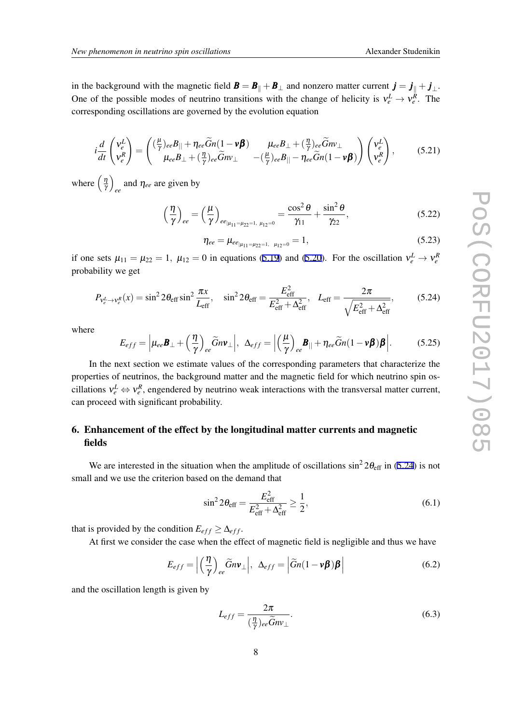<span id="page-8-0"></span>in the background with the magnetic field  $\mathbf{B} = \mathbf{B}_{\parallel} + \mathbf{B}_{\perp}$  and nonzero matter current  $\mathbf{j} = \mathbf{j}_{\parallel} + \mathbf{j}_{\perp}$ . One of the possible modes of neutrino transitions with the change of helicity is  $v_e^L \rightarrow v_e^R$ . The corresponding oscillations are governed by the evolution equation

$$
i\frac{d}{dt}\begin{pmatrix}v_e^L\\v_e^R\end{pmatrix} = \begin{pmatrix}\left(\frac{\mu}{\gamma}\right)_{ee}B_{||} + \eta_{ee}\widetilde{G}n(1-\nu\boldsymbol{\beta}) & \mu_{ee}B_{\perp} + \left(\frac{\eta}{\gamma}\right)_{ee}\widetilde{G}n\nu_{\perp} \\ \mu_{ee}B_{\perp} + \left(\frac{\eta}{\gamma}\right)_{ee}\widetilde{G}n\nu_{\perp} & -\left(\frac{\mu}{\gamma}\right)_{ee}B_{||} - \eta_{ee}\widetilde{G}n(1-\nu\boldsymbol{\beta})\end{pmatrix}\begin{pmatrix}v_e^L\\v_e^R\end{pmatrix},\tag{5.21}
$$

where  $\left(\frac{\eta}{\gamma}\right)$  $\frac{\eta}{\gamma}$  $_{ee}$  and  $\eta_{ee}$  are given by

$$
\left(\frac{\eta}{\gamma}\right)_{ee} = \left(\frac{\mu}{\gamma}\right)_{ee_{|\mu_{11} = \mu_{22} = 1, \ \mu_{12} = 0}} = \frac{\cos^2\theta}{\gamma_{11}} + \frac{\sin^2\theta}{\gamma_{22}},\tag{5.22}
$$

$$
\eta_{ee} = \mu_{ee_{|\mu_{11} = \mu_{22} = 1, \ \mu_{12} = 0}} = 1, \tag{5.23}
$$

if one sets  $\mu_{11} = \mu_{22} = 1$ ,  $\mu_{12} = 0$  in equations [\(5.19\)](#page-7-0) and ([5.20](#page-7-0)). For the oscillation  $v_e^L \rightarrow v_e^R$ probability we get

$$
P_{v_e^L \to v_e^R}(x) = \sin^2 2\theta_{\text{eff}} \sin^2 \frac{\pi x}{L_{\text{eff}}}, \quad \sin^2 2\theta_{\text{eff}} = \frac{E_{\text{eff}}^2}{E_{\text{eff}}^2 + \Delta_{\text{eff}}^2}, \quad L_{\text{eff}} = \frac{2\pi}{\sqrt{E_{\text{eff}}^2 + \Delta_{\text{eff}}^2}},\tag{5.24}
$$

where

$$
E_{eff} = \left| \mu_{ee} \mathbf{B}_{\perp} + \left( \frac{\eta}{\gamma} \right)_{ee} \widetilde{G} n \mathbf{v}_{\perp} \right|, \ \ \Delta_{eff} = \left| \left( \frac{\mu}{\gamma} \right)_{ee} \mathbf{B}_{||} + \eta_{ee} \widetilde{G} n (1 - \mathbf{v} \boldsymbol{\beta}) \boldsymbol{\beta} \right|.
$$
 (5.25)

In the next section we estimate values of the corresponding parameters that characterize the properties of neutrinos, the background matter and the magnetic field for which neutrino spin oscillations  $v_e^L \Leftrightarrow v_e^R$ , engendered by neutrino weak interactions with the transversal matter current, can proceed with significant probability.

# 6. Enhancement of the effect by the longitudinal matter currents and magnetic fields

We are interested in the situation when the amplitude of oscillations  $\sin^2 2\theta_{\text{eff}}$  in (5.24) is not small and we use the criterion based on the demand that

$$
\sin^2 2\theta_{\rm eff} = \frac{E_{\rm eff}^2}{E_{\rm eff}^2 + \Delta_{\rm eff}^2} \ge \frac{1}{2},\tag{6.1}
$$

that is provided by the condition  $E_{eff} \geq \Delta_{eff}$ .

At first we consider the case when the effect of magnetic field is negligible and thus we have

$$
E_{eff} = \left| \left( \frac{\eta}{\gamma} \right)_{ee} \widetilde{G} n \mathbf{v}_{\perp} \right|, \ \ \Delta_{eff} = \left| \widetilde{G} n (1 - \mathbf{v} \boldsymbol{\beta}) \boldsymbol{\beta} \right| \tag{6.2}
$$

and the oscillation length is given by

$$
L_{eff} = \frac{2\pi}{(\frac{\eta}{\gamma})_{ee}\widetilde{G}m_{\perp}}.\tag{6.3}
$$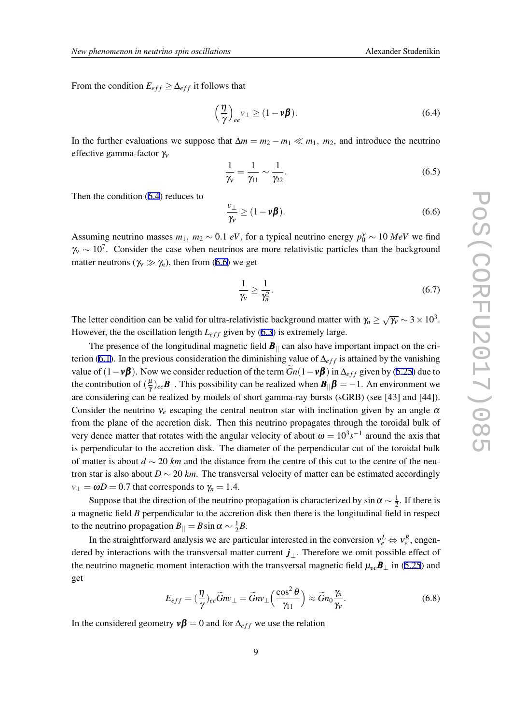From the condition  $E_{eff} \geq \Delta_{eff}$  it follows that

$$
\left(\frac{\eta}{\gamma}\right)_{ee}v_{\perp}\geq (1-\nu\beta). \tag{6.4}
$$

In the further evaluations we suppose that  $\Delta m = m_2 - m_1 \ll m_1$ ,  $m_2$ , and introduce the neutrino effective gamma-factor  $\gamma_{v}$ 

$$
\frac{1}{\gamma_v} = \frac{1}{\gamma_{11}} \sim \frac{1}{\gamma_{22}}.\tag{6.5}
$$

Then the condition (6.4) reduces to

$$
\frac{\nu_{\perp}}{\gamma_{\nu}} \ge (1 - \nu \beta). \tag{6.6}
$$

Assuming neutrino masses  $m_1$ ,  $m_2 \sim 0.1$  *eV*, for a typical neutrino energy  $p_0^{\gamma} \sim 10 \text{ MeV}$  we find  $γ<sub>v</sub> ∼ 10<sup>7</sup>$ . Consider the case when neutrinos are more relativistic particles than the background matter neutrons ( $\gamma_v \gg \gamma_n$ ), then from (6.6) we get

$$
\frac{1}{\gamma_v} \ge \frac{1}{\gamma_n^2}.\tag{6.7}
$$

The letter condition can be valid for ultra-relativistic background matter with  $\gamma_n \geq \sqrt{\gamma_v} \sim 3 \times 10^3$ . However, the the oscillation length  $L_{eff}$  given by ([6.3](#page-8-0)) is extremely large.

The presence of the longitudinal magnetic field  $B_{\parallel}$  can also have important impact on the cri-terion ([6.1](#page-8-0)). In the previous consideration the diminishing value of  $\Delta_{eff}$  is attained by the vanishing value of  $(1 - v\beta)$ . Now we consider reduction of the term  $\tilde{G}n(1 - v\beta)$  in  $\Delta_{eff}$  given by ([5.25\)](#page-4-0) due to the contribution of  $(\frac{\mu}{\gamma})$  $\frac{\mu}{\gamma}$ )<sub>ee</sub> $B_{||}$ . This possibility can be realized when  $B_{||}\boldsymbol{\beta} = -1$ . An environment we are considering can be realized by models of short gamma-ray bursts (sGRB) (see [43] and [44]). Consider the neutrino  $v_e$  escaping the central neutron star with inclination given by an angle  $\alpha$ from the plane of the accretion disk. Then this neutrino propagates through the toroidal bulk of very dence matter that rotates with the angular velocity of about  $\omega = 10^3 s^{-1}$  around the axis that is perpendicular to the accretion disk. The diameter of the perpendicular cut of the toroidal bulk of matter is about *d ∼* 20 *km* and the distance from the centre of this cut to the centre of the neutron star is also about  $D \sim 20$  *km*. The transversal velocity of matter can be estimated accordingly  $v_{\perp} = \omega D = 0.7$  that corresponds to  $\gamma_n = 1.4$ .

Suppose that the direction of the neutrino propagation is characterized by  $\sin \alpha \sim \frac{1}{2}$  $\frac{1}{2}$ . If there is a magnetic field *B* perpendicular to the accretion disk then there is the longitudinal field in respect to the neutrino propagation  $B_{\parallel} = B \sin \alpha \sim \frac{1}{2}$  $\frac{1}{2}B$ .

In the straightforward analysis we are particular interested in the conversion  $v_e^L \Leftrightarrow v_e^R$ , engendered by interactions with the transversal matter current *j⊥*. Therefore we omit possible effect of the neutrino magnetic moment interaction with the transversal magnetic field  $\mu_{ee}B_\perp$  in [\(5.25\)](#page-4-0) and get

$$
E_{eff} = \left(\frac{\eta}{\gamma}\right)_{ee} \widetilde{G} n v_{\perp} = \widetilde{G} n v_{\perp} \left(\frac{\cos^2 \theta}{\gamma_{11}}\right) \approx \widetilde{G} n_0 \frac{\gamma_n}{\gamma_v}.
$$
\n(6.8)

In the considered geometry  $v\beta = 0$  and for  $\Delta_{eff}$  we use the relation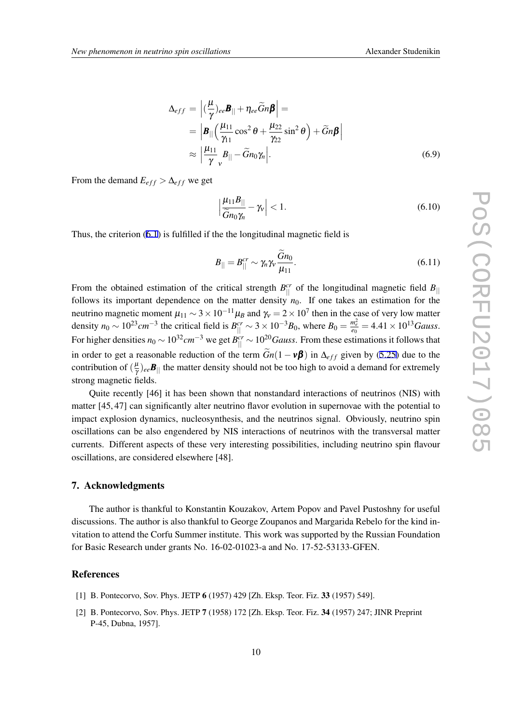$$
\Delta_{eff} = \left| (\frac{\mu}{\gamma})_{ee} \mathbf{B}_{||} + \eta_{ee} \widetilde{G}n \mathbf{\beta} \right| =
$$
\n
$$
= \left| \mathbf{B}_{||} \left( \frac{\mu_{11}}{\gamma_{11}} \cos^2 \theta + \frac{\mu_{22}}{\gamma_{22}} \sin^2 \theta \right) + \widetilde{G}n \mathbf{\beta} \right|
$$
\n
$$
\approx \left| \frac{\mu_{11}}{\gamma} \mathbf{B}_{||} - \widetilde{G}n_0 \gamma_n \right|.
$$
\n(6.9)

From the demand  $E_{eff} > \Delta_{eff}$  we get

$$
\left|\frac{\mu_{11}B_{||}}{\tilde{G}n_0\gamma_n} - \gamma_V\right| < 1. \tag{6.10}
$$

Thus, the criterion ([6.1\)](#page-8-0) is fulfilled if the the longitudinal magnetic field is

$$
B_{\parallel} = B_{\parallel}^{cr} \sim \gamma_n \gamma_v \frac{\widetilde{G} n_0}{\mu_{11}}.
$$
\n(6.11)

From the obtained estimation of the critical strength  $B_{\parallel}^{cr}$  of the longitudinal magnetic field  $B_{\parallel}$ follows its important dependence on the matter density  $n_0$ . If one takes an estimation for the neutrino magnetic moment  $\mu_{11} \sim 3 \times 10^{-11} \mu_B$  and  $\gamma_v = 2 \times 10^7$  then in the case of very low matter density  $n_0 \sim 10^{23}$  cm<sup>-3</sup> the critical field is  $B_{\parallel}^{cr} \sim 3 \times 10^{-3} B_0$ , where  $B_0 = \frac{m_e^2}{e_0} = 4.41 \times 10^{13}$  Gauss. For higher densities  $n_0 \sim 10^{32}$  *cm*<sup>−3</sup> we get  $B_{||}^{cr} \sim 10^{20}$  *Gauss*. From these estimations it follows that in order to get a reasonable reduction of the term  $\tilde{G}_n(1 - v\beta)$  in  $\Delta_{eff}$  given by [\(5.25\)](#page-4-0) due to the contribution of  $(\frac{\mu}{\gamma})$  $\frac{\mu}{\gamma}$ )<sub>ee</sub> $B_{||}$  the matter density should not be too high to avoid a demand for extremely strong magnetic fields.

Quite recently [46] it has been shown that nonstandard interactions of neutrinos (NIS) with matter [45, 47] can significantly alter neutrino flavor evolution in supernovae with the potential to impact explosion dynamics, nucleosynthesis, and the neutrinos signal. Obviously, neutrino spin oscillations can be also engendered by NIS interactions of neutrinos with the transversal matter currents. Different aspects of these very interesting possibilities, including neutrino spin flavour oscillations, are considered elsewhere [48].

### 7. Acknowledgments

The author is thankful to Konstantin Kouzakov, Artem Popov and Pavel Pustoshny for useful discussions. The author is also thankful to George Zoupanos and Margarida Rebelo for the kind invitation to attend the Corfu Summer institute. This work was supported by the Russian Foundation for Basic Research under grants No. 16-02-01023-a and No. 17-52-53133-GFEN.

#### References

- [1] B. Pontecorvo, Sov. Phys. JETP 6 (1957) 429 [Zh. Eksp. Teor. Fiz. 33 (1957) 549].
- [2] B. Pontecorvo, Sov. Phys. JETP 7 (1958) 172 [Zh. Eksp. Teor. Fiz. 34 (1957) 247; JINR Preprint P-45, Dubna, 1957].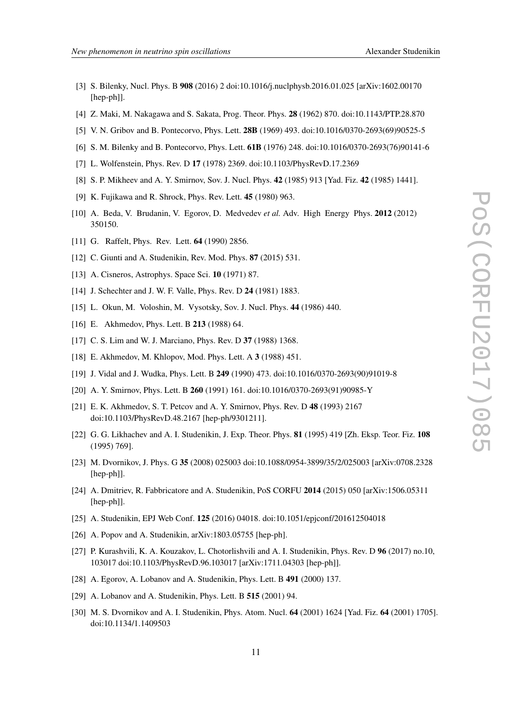- 
- [3] S. Bilenky, Nucl. Phys. B 908 (2016) 2 doi:10.1016/j.nuclphysb.2016.01.025 [arXiv:1602.00170 [hep-ph]].
- [4] Z. Maki, M. Nakagawa and S. Sakata, Prog. Theor. Phys. 28 (1962) 870. doi:10.1143/PTP.28.870
- [5] V. N. Gribov and B. Pontecorvo, Phys. Lett. 28B (1969) 493. doi:10.1016/0370-2693(69)90525-5
- [6] S. M. Bilenky and B. Pontecorvo, Phys. Lett. 61B (1976) 248. doi:10.1016/0370-2693(76)90141-6
- [7] L. Wolfenstein, Phys. Rev. D 17 (1978) 2369. doi:10.1103/PhysRevD.17.2369
- [8] S. P. Mikheev and A. Y. Smirnov, Sov. J. Nucl. Phys. 42 (1985) 913 [Yad. Fiz. 42 (1985) 1441].
- [9] K. Fujikawa and R. Shrock, Phys. Rev. Lett. 45 (1980) 963.
- [10] A. Beda, V. Brudanin, V. Egorov, D. Medvedev *et al.* Adv. High Energy Phys. 2012 (2012) 350150.
- [11] G. Raffelt, Phys. Rev. Lett. **64** (1990) 2856.
- [12] C. Giunti and A. Studenikin, Rev. Mod. Phys. **87** (2015) 531.
- [13] A. Cisneros, Astrophys. Space Sci. **10** (1971) 87.
- [14] J. Schechter and J. W. F. Valle, *Phys. Rev. D* **24** (1981) 1883.
- [15] L. Okun, M. Voloshin, M. Vysotsky, Sov. J. Nucl. Phys. 44 (1986) 440.
- [16] E. Akhmedov, Phys. Lett. B 213 (1988) 64.
- [17] C. S. Lim and W. J. Marciano, Phys. Rev. D 37 (1988) 1368.
- [18] E. Akhmedov, M. Khlopov, Mod. Phys. Lett. A 3 (1988) 451.
- [19] J. Vidal and J. Wudka, Phys. Lett. B 249 (1990) 473. doi:10.1016/0370-2693(90)91019-8
- [20] A. Y. Smirnov, Phys. Lett. B 260 (1991) 161. doi:10.1016/0370-2693(91)90985-Y
- [21] E. K. Akhmedov, S. T. Petcov and A. Y. Smirnov, Phys. Rev. D 48 (1993) 2167 doi:10.1103/PhysRevD.48.2167 [hep-ph/9301211].
- [22] G. G. Likhachev and A. I. Studenikin, J. Exp. Theor. Phys. 81 (1995) 419 [Zh. Eksp. Teor. Fiz. 108 (1995) 769].
- [23] M. Dvornikov, J. Phys. G 35 (2008) 025003 doi:10.1088/0954-3899/35/2/025003 [arXiv:0708.2328 [hep-ph]].
- [24] A. Dmitriev, R. Fabbricatore and A. Studenikin, PoS CORFU 2014 (2015) 050 [arXiv:1506.05311 [hep-ph]].
- [25] A. Studenikin, EPJ Web Conf. 125 (2016) 04018. doi:10.1051/epjconf/201612504018
- [26] A. Popov and A. Studenikin, arXiv:1803.05755 [hep-ph].
- [27] P. Kurashvili, K. A. Kouzakov, L. Chotorlishvili and A. I. Studenikin, Phys. Rev. D 96 (2017) no.10, 103017 doi:10.1103/PhysRevD.96.103017 [arXiv:1711.04303 [hep-ph]].
- [28] A. Egorov, A. Lobanov and A. Studenikin, Phys. Lett. B 491 (2000) 137.
- [29] A. Lobanov and A. Studenikin, Phys. Lett. B 515 (2001) 94.
- [30] M. S. Dvornikov and A. I. Studenikin, Phys. Atom. Nucl. 64 (2001) 1624 [Yad. Fiz. 64 (2001) 1705]. doi:10.1134/1.1409503